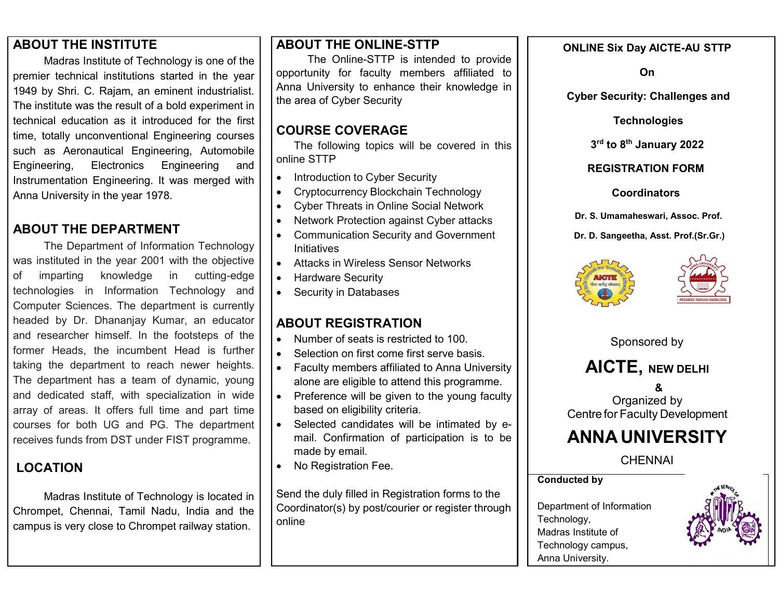#### ABOUT THE INSTITUTE

Madras Institute of Technology is one of the premier technical institutions started in the year 1949 by Shri. C. Rajam, an eminent industrialist. The institute was the result of a bold experiment in technical education as it introduced for the first time, totally unconventional Engineering courses such as Aeronautical Engineering, Automobile Engineering, Electronics Engineering and Instrumentation Engineering. It was merged with Anna University in the year 1978.

## ABOUT THE DEPARTMENT

The Department of Information Technology was instituted in the year 2001 with the objective of imparting knowledge in cutting-edge technologies in Information Technology and Computer Sciences. The department is currently headed by Dr. Dhananjay Kumar, an educator and researcher himself. In the footsteps of the former Heads, the incumbent Head is further taking the department to reach newer heights. The department has a team of dynamic, young and dedicated staff, with specialization in wide array of areas. It offers full time and part time courses for both UG and PG. The department receives funds from DST under FIST programme.

## LOCATION

Madras Institute of Technology is located in Chrompet, Chennai, Tamil Nadu, India and the campus is very close to Chrompet railway station.

## ABOUT THE ONLINE-STTP

The Online-STTP is intended to provide opportunity for faculty members affiliated to Anna University to enhance their knowledge in the area of Cyber Security

## COURSE COVERAGE

The following topics will be covered in this online STTP

- Introduction to Cyber Security
- Cryptocurrency Blockchain Technology
- Cyber Threats in Online Social Network
- Network Protection against Cyber attacks
- Communication Security and Government Initiatives
- Attacks in Wireless Sensor Networks
- Hardware Security
- Security in Databases

## ABOUT REGISTRATION

- Number of seats is restricted to 100.
- Selection on first come first serve basis.
- Faculty members affiliated to Anna University alone are eligible to attend this programme.
- Preference will be given to the young faculty based on eligibility criteria.
- Selected candidates will be intimated by email. Confirmation of participation is to be made by email.
- No Registration Fee.

Send the duly filled in Registration forms to the Coordinator(s) by post/courier or register through online

#### ONLINE Six Day AICTE-AU STTP

On

Cyber Security: Challenges and

#### **Technologies**

3rd to 8<sup>th</sup> January 2022

#### REGISTRATION FORM

#### **Coordinators**

Dr. S. Umamaheswari, Assoc. Prof.

Dr. D. Sangeetha, Asst. Prof.(Sr.Gr.)





Sponsored by

## AICTE, NEW DELHI

& Organized by Centre for Faculty Development

# ANNA UNIVERSITY

**CHENNAI** 

Conducted by

Department of Information Technology, Madras Institute of Technology campus, Anna University.